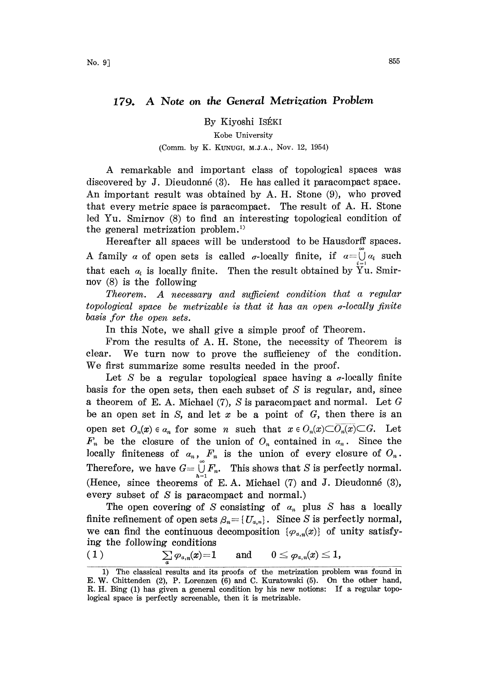## 179. A Note on the General Metrization Problem

By Kiyoshi ISÉKI

## Kobe University (Comm. by K. KUNUGI, M.J.A., Nov. 12, 1954)

A remarkable and important class of topological spaces was discovered by J. Dieudonn6 (3). He has called it paracompact space. An important result was obtained by A. H. Stone (9), who proved that every metric space is paracompact. The result of A. H. Stone led Yu. Smirnov (8) to find an interesting topological condition of the general metrization problem. '

Hereafter all spaces will be understood to be Hausdorff spaces. A family  $\alpha$  of open sets is called  $\sigma$ -locally finite, if  $\alpha = \bigcup_{n=1}^{\infty} \alpha_n$  such that each  $a_i$  is locally finite. Then the result obtained by  $\tilde{Y}^{\dagger}u$ . Smirnov (8) is the following

Theorem. A necessary and sufficient condition that a regular topological space be metrizable is that it has an open  $\sigma$ -locally finite basis for the open sets.

In this Note, we shall give a simple proof of Theorem.

From the results of A. H. Stone, the necessity of Theorem is clear. We turn now to prove the sufficiency of the condition. We first summarize some results needed in the proof.

Let S be a regular topological space having a  $\sigma$ -locally finite basis for the open sets, then each subset of  $S$  is regular, and, since a theorem of E.A. Michael (7), S is paracompact and normal. Let G be an open set in  $S$ , and let  $x$  be a point of  $G$ , then there is an open set  $O_n(x) \in a_n$  for some n such that  $x \in O_n(x) \subset O_n(x) \subset G$ . Let  $F_n$  be the closure of the union of  $O_n$  contained in  $a_n$ . Since the locally finiteness of  $a_n$ ,  $F_n$  is the union of every closure of  $O_n$ . Therefore, we have  $G = \bigcup_{h=1}^{\infty} F_n$ . This shows that S is perfectly normal. (Hence, since theorems of E.A. Michael  $(7)$  and J. Dieudonné  $(3)$ , every subset of S is paracompact and normal.)

The open covering of S consisting of  $a_n$  plus S has a locally finite refinement of open sets  $\beta_n = \{U_{\alpha,n}\}\$ . Since S is perfectly normal, we can find the continuous decomposition  $\{\varphi_{\alpha,n}(x)\}$  of unity satisfy-

ing the following conditions  
\n(1) 
$$
\sum_{a} \varphi_{a,n}(x) = 1
$$
 and 
$$
0 \leq \varphi_{a,n}(x) \leq 1,
$$

<sup>1)</sup> The classical results and its proofs of the metrization problem was found in E. W. Chittenden (2), P. Lorenzen (6) and C. Kuratowski (5). On tho other hand, R. H. Bing (1) has given a general condition by his new notions: If a regular topological space is perfectly screenable, then it is metrizable.